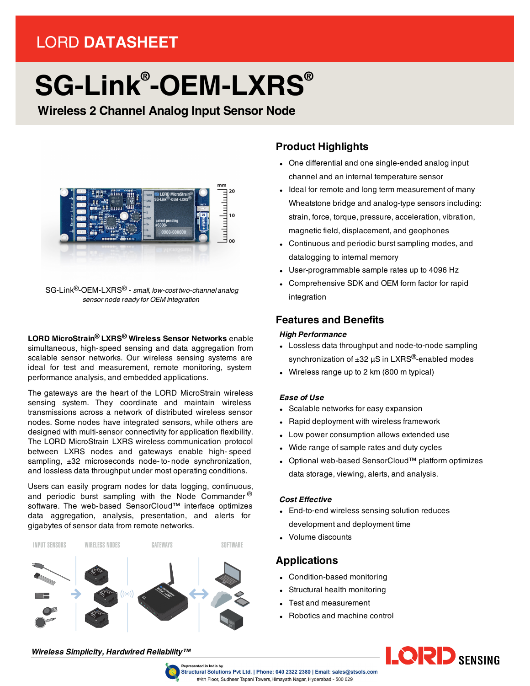# LORD **DATASHEET**

# **SG-Link® -OEM-LXRS®**

**Wireless 2 Channel Analog Input Sensor Node**



SG-Link®-OEM-LXRS® - *small, low-cost two-channel analog sensor node ready for OEM integration*

**LORD MicroStrain® LXRS® Wireless Sensor Networks** enable simultaneous, high-speed sensing and data aggregation from scalable sensor networks. Our wireless sensing systems are ideal for test and measurement, remote monitoring, system performance analysis, and embedded applications.

The gateways are the heart of the LORD MicroStrain wireless sensing system. They coordinate and maintain wireless transmissions across a network of distributed wireless sensor nodes. Some nodes have integrated sensors, while others are designed with multi-sensor connectivity for application flexibility. The LORD MicroStrain LXRS wireless communication protocol between LXRS nodes and gateways enable high- speed sampling,  $\pm 32$  microseconds node-to-node synchronization, and lossless data throughput under most operating conditions.

Users can easily program nodes for data logging, continuous, and periodic burst sampling with the Node Commander  $^{\circledR}$ software. The web-based SensorCloud™ interface optimizes data aggregation, analysis, presentation, and alerts for gigabytes of sensor data from remote networks.



# **Product Highlights**

- One differential and one single-ended analog input channel and an internal temperature sensor
- Ideal for remote and long term measurement of many Wheatstone bridge and analog-type sensors including: strain, force, torque, pressure, acceleration, vibration, magnetic field, displacement, and geophones
- Continuous and periodic burst sampling modes, and datalogging to internal memory
- User-programmable sample rates up to 4096 Hz
- Comprehensive SDK and OEM form factor for rapid integration

# **Features and Benefits**

#### *High Performance*

- Lossless data throughput and node-to-node sampling synchronization of  $\pm 32$   $\mu$ S in LXRS<sup>®</sup>-enabled modes
- Wireless range up to 2 km (800 m typical)

#### *Ease of Use*

- Scalable networks for easy expansion
- Rapid deployment with wireless framework
- Low power consumption allows extended use
- Wide range of sample rates and duty cycles
- Optional web-based SensorCloud™ platform optimizes data storage, viewing, alerts, and analysis.

#### *Cost Effective*

- End-to-end wireless sensing solution reduces development and deployment time
- Volume discounts

### **Applications**

- Condition-based monitoring
- Structural health monitoring
- Test and measurement
- Robotics and machine control